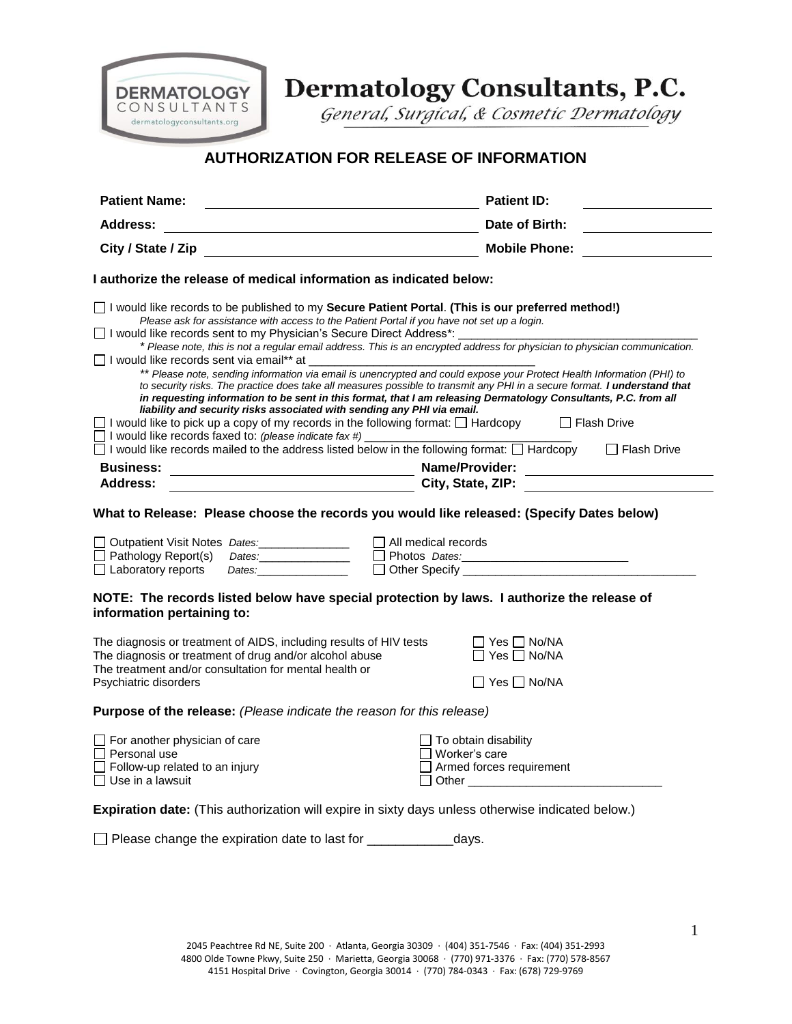

Dermatology Consultants, P.C.

General, Surgical, & Cosmetic Dermatology

## **AUTHORIZATION FOR RELEASE OF INFORMATION**

| <b>Patient Name:</b>                                                                                                                                                                                                                                                                                                                  | <b>Patient ID:</b>                                                                                                                                                                                                                                                                                                       |  |
|---------------------------------------------------------------------------------------------------------------------------------------------------------------------------------------------------------------------------------------------------------------------------------------------------------------------------------------|--------------------------------------------------------------------------------------------------------------------------------------------------------------------------------------------------------------------------------------------------------------------------------------------------------------------------|--|
| <b>Address:</b>                                                                                                                                                                                                                                                                                                                       | Date of Birth:                                                                                                                                                                                                                                                                                                           |  |
| City / State / Zip and the state of the state of the state of the state of the state of the state of the state                                                                                                                                                                                                                        | <b>Mobile Phone:</b>                                                                                                                                                                                                                                                                                                     |  |
| I authorize the release of medical information as indicated below:                                                                                                                                                                                                                                                                    |                                                                                                                                                                                                                                                                                                                          |  |
| $\Box$ I would like records to be published to my <b>Secure Patient Portal. (This is our preferred method!)</b><br>Please ask for assistance with access to the Patient Portal if you have not set up a login.<br>□ I would like records sent to my Physician's Secure Direct Address*: _                                             |                                                                                                                                                                                                                                                                                                                          |  |
|                                                                                                                                                                                                                                                                                                                                       | * Please note, this is not a regular email address. This is an encrypted address for physician to physician communication.                                                                                                                                                                                               |  |
| □ I would like records sent via email** at                                                                                                                                                                                                                                                                                            | ** Please note, sending information via email is unencrypted and could expose your Protect Health Information (PHI) to                                                                                                                                                                                                   |  |
|                                                                                                                                                                                                                                                                                                                                       | to security risks. The practice does take all measures possible to transmit any PHI in a secure format. I understand that                                                                                                                                                                                                |  |
| liability and security risks associated with sending any PHI via email.                                                                                                                                                                                                                                                               | in requesting information to be sent in this format, that I am releasing Dermatology Consultants, P.C. from all                                                                                                                                                                                                          |  |
| $\Box$ I would like to pick up a copy of my records in the following format: $\Box$ Hardcopy<br>$\Box$ I would like records faxed to: (please indicate fax #)                                                                                                                                                                         | Flash Drive                                                                                                                                                                                                                                                                                                              |  |
| $\Box$ I would like records mailed to the address listed below in the following format: $\Box$ Hardcopy                                                                                                                                                                                                                               | $\Box$ Flash Drive                                                                                                                                                                                                                                                                                                       |  |
| <b>Business:</b>                                                                                                                                                                                                                                                                                                                      | Name/Provider:<br><u> 1980 - Johann Barbara, martxa alemaniar a</u>                                                                                                                                                                                                                                                      |  |
| Address:                                                                                                                                                                                                                                                                                                                              | <b>Example 2018 City, State, ZIP:</b> Natural City, State, 2019;                                                                                                                                                                                                                                                         |  |
| Outpatient Visit Notes Dates: Notes 1998<br>$\Box$ Pathology Report(s)<br>$\Box$ Laboratory reports<br>Dates: the contract of the contract of the contract of the contract of the contract of the contract of the contract of the contract of the contract of the contract of the contract of the contract of the contract of the con | $\Box$ All medical records<br>D Photos Dates: 2008 Photos Dates: 2008 Photos Dates:                                                                                                                                                                                                                                      |  |
| NOTE: The records listed below have special protection by laws. I authorize the release of<br>information pertaining to:                                                                                                                                                                                                              |                                                                                                                                                                                                                                                                                                                          |  |
| The diagnosis or treatment of AIDS, including results of HIV tests<br>The diagnosis or treatment of drug and/or alcohol abuse<br>The treatment and/or consultation for mental health or<br>Psychiatric disorders                                                                                                                      | $\Box$ Yes $\Box$ No/NA<br>$\Box$ Yes $\Box$ No/NA<br>$\Box$ Yes $\Box$ No/NA                                                                                                                                                                                                                                            |  |
| Purpose of the release: (Please indicate the reason for this release)                                                                                                                                                                                                                                                                 |                                                                                                                                                                                                                                                                                                                          |  |
| $\Box$ For another physician of care<br>$\Box$ Personal use<br>$\Box$ Follow-up related to an injury<br>$\Box$ Use in a lawsuit                                                                                                                                                                                                       | $\Box$ To obtain disability<br>$\Box$ Worker's care<br>$\Box$ Armed forces requirement<br>Other Communication of the Communication of the Communication of the Communication of the Communication of the Communication of the Communication of the Communication of the Communication of the Communication of the Commun |  |
| Expiration date: (This authorization will expire in sixty days unless otherwise indicated below.)                                                                                                                                                                                                                                     |                                                                                                                                                                                                                                                                                                                          |  |
| Please change the expiration date to last for                                                                                                                                                                                                                                                                                         | days.                                                                                                                                                                                                                                                                                                                    |  |